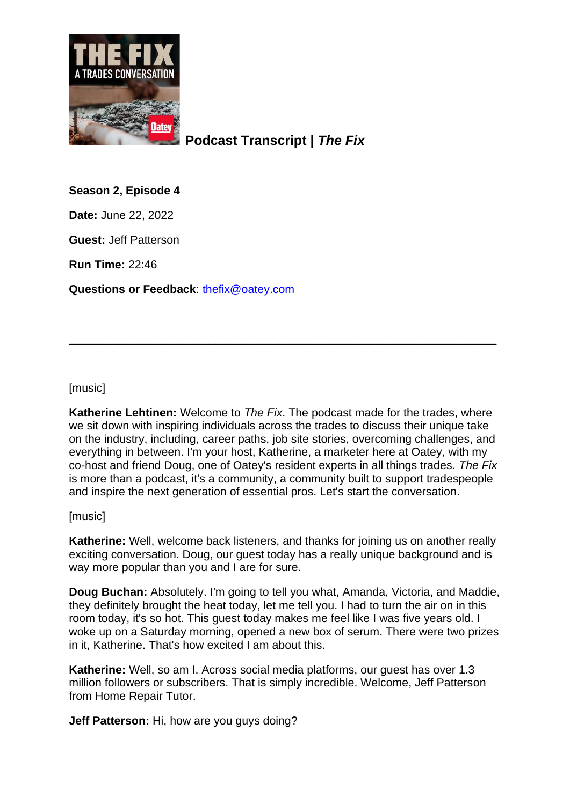

**Podcast Transcript |** *The Fix*

**Season 2, Episode 4**

**Date:** June 22, 2022

**Guest:** Jeff Patterson

**Run Time:** 22:46

**Questions or Feedback**: [thefix@oatey.com](mailto:thefix@oatey.com)

[music]

**Katherine Lehtinen:** Welcome to *The Fix*. The podcast made for the trades, where we sit down with inspiring individuals across the trades to discuss their unique take on the industry, including, career paths, job site stories, overcoming challenges, and everything in between. I'm your host, Katherine, a marketer here at Oatey, with my co-host and friend Doug, one of Oatey's resident experts in all things trades. *The Fix* is more than a podcast, it's a community, a community built to support tradespeople and inspire the next generation of essential pros. Let's start the conversation.

\_\_\_\_\_\_\_\_\_\_\_\_\_\_\_\_\_\_\_\_\_\_\_\_\_\_\_\_\_\_\_\_\_\_\_\_\_\_\_\_\_\_\_\_\_\_\_\_\_\_\_\_\_\_\_\_\_\_\_\_\_\_\_\_\_\_\_

[music]

**Katherine:** Well, welcome back listeners, and thanks for joining us on another really exciting conversation. Doug, our guest today has a really unique background and is way more popular than you and I are for sure.

**Doug Buchan:** Absolutely. I'm going to tell you what, Amanda, Victoria, and Maddie, they definitely brought the heat today, let me tell you. I had to turn the air on in this room today, it's so hot. This guest today makes me feel like I was five years old. I woke up on a Saturday morning, opened a new box of serum. There were two prizes in it, Katherine. That's how excited I am about this.

**Katherine:** Well, so am I. Across social media platforms, our quest has over 1.3 million followers or subscribers. That is simply incredible. Welcome, Jeff Patterson from Home Repair Tutor.

**Jeff Patterson:** Hi, how are you guys doing?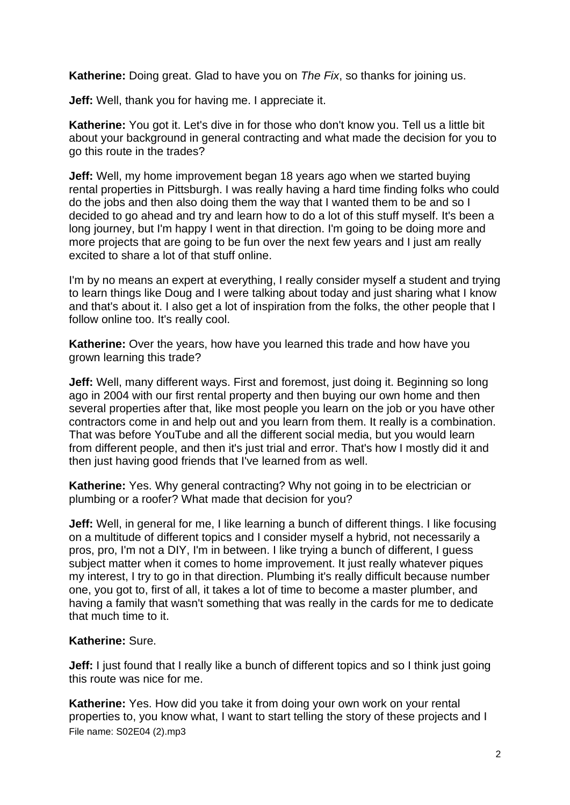**Katherine:** Doing great. Glad to have you on *The Fix*, so thanks for joining us.

**Jeff:** Well, thank you for having me. I appreciate it.

**Katherine:** You got it. Let's dive in for those who don't know you. Tell us a little bit about your background in general contracting and what made the decision for you to go this route in the trades?

**Jeff:** Well, my home improvement began 18 years ago when we started buying rental properties in Pittsburgh. I was really having a hard time finding folks who could do the jobs and then also doing them the way that I wanted them to be and so I decided to go ahead and try and learn how to do a lot of this stuff myself. It's been a long journey, but I'm happy I went in that direction. I'm going to be doing more and more projects that are going to be fun over the next few years and I just am really excited to share a lot of that stuff online.

I'm by no means an expert at everything, I really consider myself a student and trying to learn things like Doug and I were talking about today and just sharing what I know and that's about it. I also get a lot of inspiration from the folks, the other people that I follow online too. It's really cool.

**Katherine:** Over the years, how have you learned this trade and how have you grown learning this trade?

**Jeff:** Well, many different ways. First and foremost, just doing it. Beginning so long ago in 2004 with our first rental property and then buying our own home and then several properties after that, like most people you learn on the job or you have other contractors come in and help out and you learn from them. It really is a combination. That was before YouTube and all the different social media, but you would learn from different people, and then it's just trial and error. That's how I mostly did it and then just having good friends that I've learned from as well.

**Katherine:** Yes. Why general contracting? Why not going in to be electrician or plumbing or a roofer? What made that decision for you?

**Jeff:** Well, in general for me, I like learning a bunch of different things. I like focusing on a multitude of different topics and I consider myself a hybrid, not necessarily a pros, pro, I'm not a DIY, I'm in between. I like trying a bunch of different, I guess subject matter when it comes to home improvement. It just really whatever piques my interest, I try to go in that direction. Plumbing it's really difficult because number one, you got to, first of all, it takes a lot of time to become a master plumber, and having a family that wasn't something that was really in the cards for me to dedicate that much time to it.

## **Katherine:** Sure.

**Jeff:** I just found that I really like a bunch of different topics and so I think just going this route was nice for me.

File name: S02E04 (2).mp3 **Katherine:** Yes. How did you take it from doing your own work on your rental properties to, you know what, I want to start telling the story of these projects and I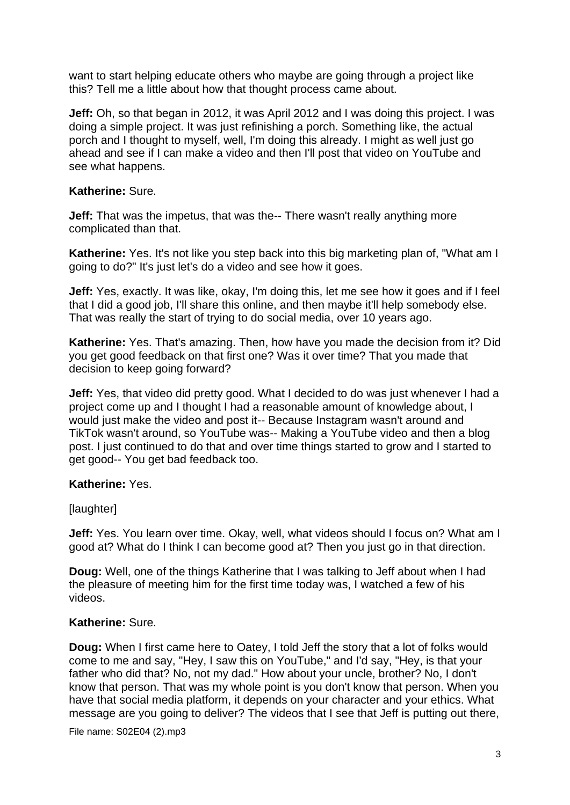want to start helping educate others who maybe are going through a project like this? Tell me a little about how that thought process came about.

**Jeff:** Oh, so that began in 2012, it was April 2012 and I was doing this project. I was doing a simple project. It was just refinishing a porch. Something like, the actual porch and I thought to myself, well, I'm doing this already. I might as well just go ahead and see if I can make a video and then I'll post that video on YouTube and see what happens.

# **Katherine:** Sure.

**Jeff:** That was the impetus, that was the-- There wasn't really anything more complicated than that.

**Katherine:** Yes. It's not like you step back into this big marketing plan of, "What am I going to do?" It's just let's do a video and see how it goes.

**Jeff:** Yes, exactly. It was like, okay, I'm doing this, let me see how it goes and if I feel that I did a good job, I'll share this online, and then maybe it'll help somebody else. That was really the start of trying to do social media, over 10 years ago.

**Katherine:** Yes. That's amazing. Then, how have you made the decision from it? Did you get good feedback on that first one? Was it over time? That you made that decision to keep going forward?

**Jeff:** Yes, that video did pretty good. What I decided to do was just whenever I had a project come up and I thought I had a reasonable amount of knowledge about, I would just make the video and post it-- Because Instagram wasn't around and TikTok wasn't around, so YouTube was-- Making a YouTube video and then a blog post. I just continued to do that and over time things started to grow and I started to get good-- You get bad feedback too.

## **Katherine:** Yes.

## [laughter]

**Jeff:** Yes. You learn over time. Okay, well, what videos should I focus on? What am I good at? What do I think I can become good at? Then you just go in that direction.

**Doug:** Well, one of the things Katherine that I was talking to Jeff about when I had the pleasure of meeting him for the first time today was, I watched a few of his videos.

# **Katherine:** Sure.

**Doug:** When I first came here to Oatey, I told Jeff the story that a lot of folks would come to me and say, "Hey, I saw this on YouTube," and I'd say, "Hey, is that your father who did that? No, not my dad." How about your uncle, brother? No, I don't know that person. That was my whole point is you don't know that person. When you have that social media platform, it depends on your character and your ethics. What message are you going to deliver? The videos that I see that Jeff is putting out there,

File name: S02E04 (2).mp3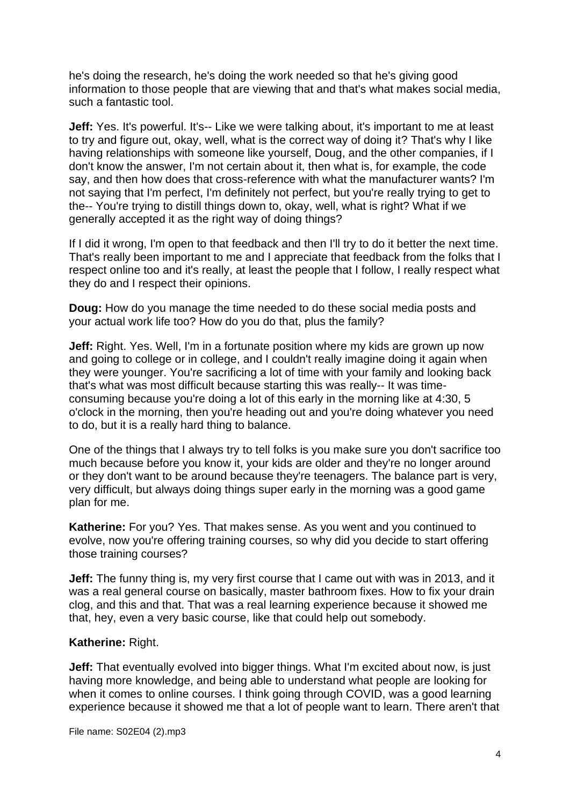he's doing the research, he's doing the work needed so that he's giving good information to those people that are viewing that and that's what makes social media, such a fantastic tool.

**Jeff:** Yes. It's powerful. It's-- Like we were talking about, it's important to me at least to try and figure out, okay, well, what is the correct way of doing it? That's why I like having relationships with someone like yourself, Doug, and the other companies, if I don't know the answer, I'm not certain about it, then what is, for example, the code say, and then how does that cross-reference with what the manufacturer wants? I'm not saying that I'm perfect, I'm definitely not perfect, but you're really trying to get to the-- You're trying to distill things down to, okay, well, what is right? What if we generally accepted it as the right way of doing things?

If I did it wrong, I'm open to that feedback and then I'll try to do it better the next time. That's really been important to me and I appreciate that feedback from the folks that I respect online too and it's really, at least the people that I follow, I really respect what they do and I respect their opinions.

**Doug:** How do you manage the time needed to do these social media posts and your actual work life too? How do you do that, plus the family?

**Jeff:** Right. Yes. Well, I'm in a fortunate position where my kids are grown up now and going to college or in college, and I couldn't really imagine doing it again when they were younger. You're sacrificing a lot of time with your family and looking back that's what was most difficult because starting this was really-- It was timeconsuming because you're doing a lot of this early in the morning like at 4:30, 5 o'clock in the morning, then you're heading out and you're doing whatever you need to do, but it is a really hard thing to balance.

One of the things that I always try to tell folks is you make sure you don't sacrifice too much because before you know it, your kids are older and they're no longer around or they don't want to be around because they're teenagers. The balance part is very, very difficult, but always doing things super early in the morning was a good game plan for me.

**Katherine:** For you? Yes. That makes sense. As you went and you continued to evolve, now you're offering training courses, so why did you decide to start offering those training courses?

**Jeff:** The funny thing is, my very first course that I came out with was in 2013, and it was a real general course on basically, master bathroom fixes. How to fix your drain clog, and this and that. That was a real learning experience because it showed me that, hey, even a very basic course, like that could help out somebody.

## **Katherine:** Right.

**Jeff:** That eventually evolved into bigger things. What I'm excited about now, is just having more knowledge, and being able to understand what people are looking for when it comes to online courses. I think going through COVID, was a good learning experience because it showed me that a lot of people want to learn. There aren't that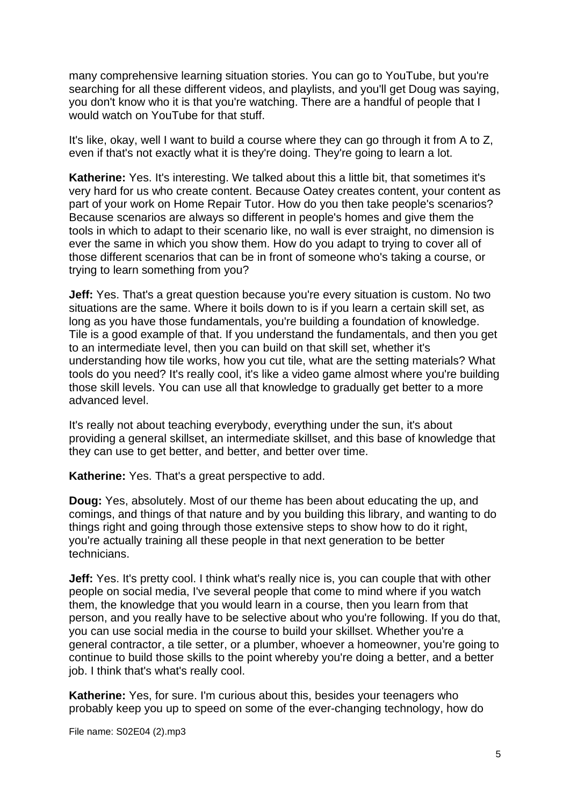many comprehensive learning situation stories. You can go to YouTube, but you're searching for all these different videos, and playlists, and you'll get Doug was saying, you don't know who it is that you're watching. There are a handful of people that I would watch on YouTube for that stuff.

It's like, okay, well I want to build a course where they can go through it from A to Z, even if that's not exactly what it is they're doing. They're going to learn a lot.

**Katherine:** Yes. It's interesting. We talked about this a little bit, that sometimes it's very hard for us who create content. Because Oatey creates content, your content as part of your work on Home Repair Tutor. How do you then take people's scenarios? Because scenarios are always so different in people's homes and give them the tools in which to adapt to their scenario like, no wall is ever straight, no dimension is ever the same in which you show them. How do you adapt to trying to cover all of those different scenarios that can be in front of someone who's taking a course, or trying to learn something from you?

**Jeff:** Yes. That's a great question because you're every situation is custom. No two situations are the same. Where it boils down to is if you learn a certain skill set, as long as you have those fundamentals, you're building a foundation of knowledge. Tile is a good example of that. If you understand the fundamentals, and then you get to an intermediate level, then you can build on that skill set, whether it's understanding how tile works, how you cut tile, what are the setting materials? What tools do you need? It's really cool, it's like a video game almost where you're building those skill levels. You can use all that knowledge to gradually get better to a more advanced level.

It's really not about teaching everybody, everything under the sun, it's about providing a general skillset, an intermediate skillset, and this base of knowledge that they can use to get better, and better, and better over time.

**Katherine:** Yes. That's a great perspective to add.

**Doug:** Yes, absolutely. Most of our theme has been about educating the up, and comings, and things of that nature and by you building this library, and wanting to do things right and going through those extensive steps to show how to do it right, you're actually training all these people in that next generation to be better technicians.

**Jeff:** Yes. It's pretty cool. I think what's really nice is, you can couple that with other people on social media, I've several people that come to mind where if you watch them, the knowledge that you would learn in a course, then you learn from that person, and you really have to be selective about who you're following. If you do that, you can use social media in the course to build your skillset. Whether you're a general contractor, a tile setter, or a plumber, whoever a homeowner, you're going to continue to build those skills to the point whereby you're doing a better, and a better job. I think that's what's really cool.

**Katherine:** Yes, for sure. I'm curious about this, besides your teenagers who probably keep you up to speed on some of the ever-changing technology, how do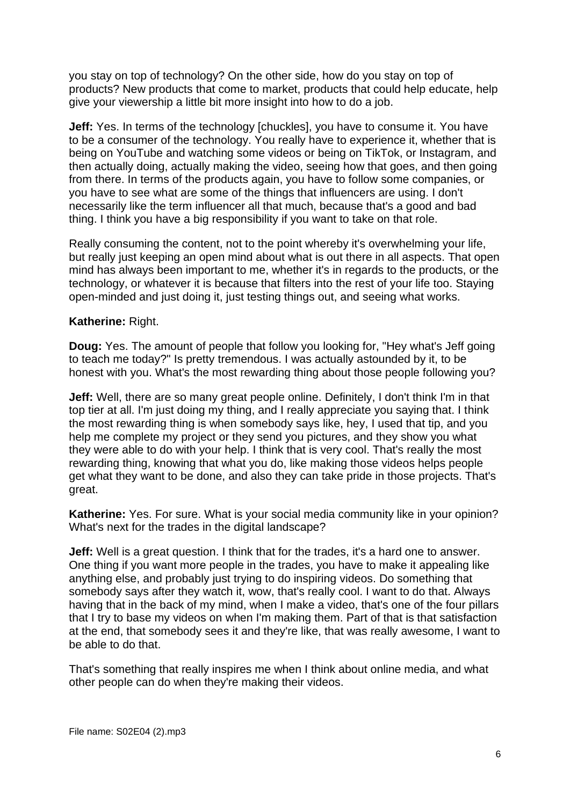you stay on top of technology? On the other side, how do you stay on top of products? New products that come to market, products that could help educate, help give your viewership a little bit more insight into how to do a job.

**Jeff:** Yes. In terms of the technology [chuckles], you have to consume it. You have to be a consumer of the technology. You really have to experience it, whether that is being on YouTube and watching some videos or being on TikTok, or Instagram, and then actually doing, actually making the video, seeing how that goes, and then going from there. In terms of the products again, you have to follow some companies, or you have to see what are some of the things that influencers are using. I don't necessarily like the term influencer all that much, because that's a good and bad thing. I think you have a big responsibility if you want to take on that role.

Really consuming the content, not to the point whereby it's overwhelming your life, but really just keeping an open mind about what is out there in all aspects. That open mind has always been important to me, whether it's in regards to the products, or the technology, or whatever it is because that filters into the rest of your life too. Staying open-minded and just doing it, just testing things out, and seeing what works.

#### **Katherine:** Right.

**Doug:** Yes. The amount of people that follow you looking for, "Hey what's Jeff going to teach me today?" Is pretty tremendous. I was actually astounded by it, to be honest with you. What's the most rewarding thing about those people following you?

**Jeff:** Well, there are so many great people online. Definitely, I don't think I'm in that top tier at all. I'm just doing my thing, and I really appreciate you saying that. I think the most rewarding thing is when somebody says like, hey, I used that tip, and you help me complete my project or they send you pictures, and they show you what they were able to do with your help. I think that is very cool. That's really the most rewarding thing, knowing that what you do, like making those videos helps people get what they want to be done, and also they can take pride in those projects. That's great.

**Katherine:** Yes. For sure. What is your social media community like in your opinion? What's next for the trades in the digital landscape?

**Jeff:** Well is a great question. I think that for the trades, it's a hard one to answer. One thing if you want more people in the trades, you have to make it appealing like anything else, and probably just trying to do inspiring videos. Do something that somebody says after they watch it, wow, that's really cool. I want to do that. Always having that in the back of my mind, when I make a video, that's one of the four pillars that I try to base my videos on when I'm making them. Part of that is that satisfaction at the end, that somebody sees it and they're like, that was really awesome, I want to be able to do that.

That's something that really inspires me when I think about online media, and what other people can do when they're making their videos.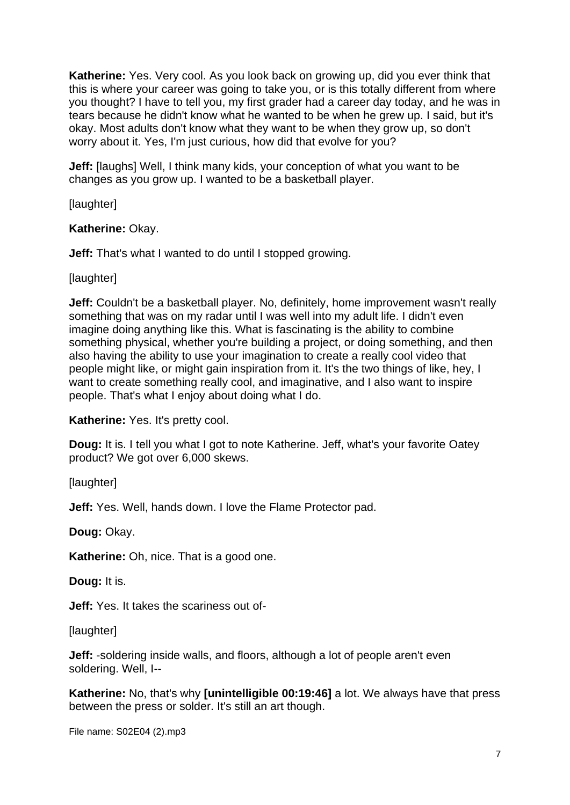**Katherine:** Yes. Very cool. As you look back on growing up, did you ever think that this is where your career was going to take you, or is this totally different from where you thought? I have to tell you, my first grader had a career day today, and he was in tears because he didn't know what he wanted to be when he grew up. I said, but it's okay. Most adults don't know what they want to be when they grow up, so don't worry about it. Yes, I'm just curious, how did that evolve for you?

**Jeff:** [laughs] Well, I think many kids, your conception of what you want to be changes as you grow up. I wanted to be a basketball player.

**[laughter]** 

# **Katherine:** Okay.

**Jeff:** That's what I wanted to do until I stopped growing.

[laughter]

**Jeff:** Couldn't be a basketball player. No, definitely, home improvement wasn't really something that was on my radar until I was well into my adult life. I didn't even imagine doing anything like this. What is fascinating is the ability to combine something physical, whether you're building a project, or doing something, and then also having the ability to use your imagination to create a really cool video that people might like, or might gain inspiration from it. It's the two things of like, hey, I want to create something really cool, and imaginative, and I also want to inspire people. That's what I enjoy about doing what I do.

**Katherine:** Yes. It's pretty cool.

**Doug:** It is. I tell you what I got to note Katherine. Jeff, what's your favorite Oatey product? We got over 6,000 skews.

[laughter]

**Jeff:** Yes. Well, hands down. I love the Flame Protector pad.

**Doug:** Okay.

**Katherine:** Oh, nice. That is a good one.

**Doug:** It is.

**Jeff:** Yes. It takes the scariness out of-

[laughter]

**Jeff:** -soldering inside walls, and floors, although a lot of people aren't even soldering. Well, I--

**Katherine:** No, that's why **[unintelligible 00:19:46]** a lot. We always have that press between the press or solder. It's still an art though.

File name: S02E04 (2).mp3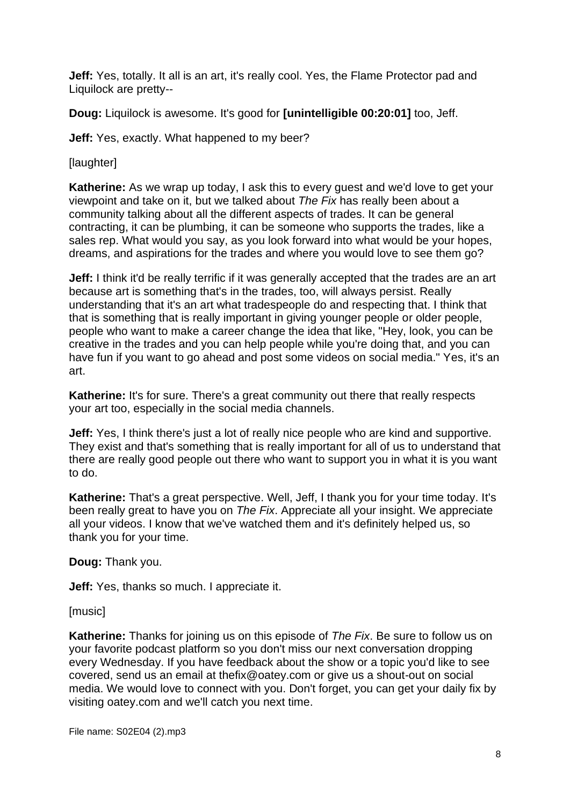**Jeff:** Yes, totally. It all is an art, it's really cool. Yes, the Flame Protector pad and Liquilock are pretty--

**Doug:** Liquilock is awesome. It's good for **[unintelligible 00:20:01]** too, Jeff.

**Jeff:** Yes, exactly. What happened to my beer?

[laughter]

**Katherine:** As we wrap up today, I ask this to every guest and we'd love to get your viewpoint and take on it, but we talked about *The Fix* has really been about a community talking about all the different aspects of trades. It can be general contracting, it can be plumbing, it can be someone who supports the trades, like a sales rep. What would you say, as you look forward into what would be your hopes, dreams, and aspirations for the trades and where you would love to see them go?

**Jeff:** I think it'd be really terrific if it was generally accepted that the trades are an art because art is something that's in the trades, too, will always persist. Really understanding that it's an art what tradespeople do and respecting that. I think that that is something that is really important in giving younger people or older people, people who want to make a career change the idea that like, "Hey, look, you can be creative in the trades and you can help people while you're doing that, and you can have fun if you want to go ahead and post some videos on social media." Yes, it's an art.

**Katherine:** It's for sure. There's a great community out there that really respects your art too, especially in the social media channels.

**Jeff:** Yes, I think there's just a lot of really nice people who are kind and supportive. They exist and that's something that is really important for all of us to understand that there are really good people out there who want to support you in what it is you want to do.

**Katherine:** That's a great perspective. Well, Jeff, I thank you for your time today. It's been really great to have you on *The Fix*. Appreciate all your insight. We appreciate all your videos. I know that we've watched them and it's definitely helped us, so thank you for your time.

**Doug:** Thank you.

**Jeff:** Yes, thanks so much. I appreciate it.

[music]

**Katherine:** Thanks for joining us on this episode of *The Fix*. Be sure to follow us on your favorite podcast platform so you don't miss our next conversation dropping every Wednesday. If you have feedback about the show or a topic you'd like to see covered, send us an email at thefix@oatey.com or give us a shout-out on social media. We would love to connect with you. Don't forget, you can get your daily fix by visiting oatey.com and we'll catch you next time.

File name: S02E04 (2).mp3